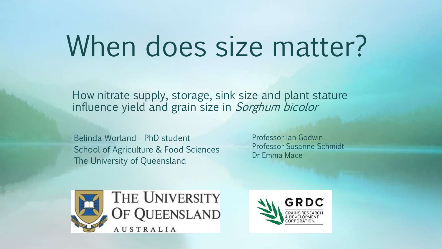# When does size matter?

How nitrate supply, storage, sink size and plant stature influence yield and grain size in Sorghum bicolor

Belinda Worland - PhD student School of Agriculture & Food Sciences The University of Queensland

Professor Ian Godwin Professor Susanne Schmidt Dr Emma Mace



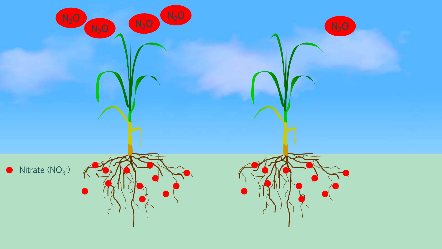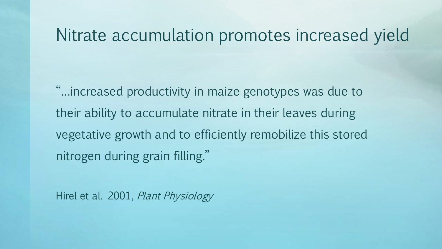### Nitrate accumulation promotes increased yield

"…increased productivity in maize genotypes was due to their ability to accumulate nitrate in their leaves during vegetative growth and to efficiently remobilize this stored nitrogen during grain filling."

Hirel et al. 2001, Plant Physiology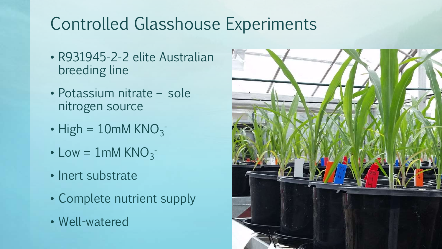## Controlled Glasshouse Experiments

- R931945-2-2 elite Australian breeding line
- Potassium nitrate sole nitrogen source
- High =  $10$ mM KNO $_3$ <sup>-</sup>
- Low =  $1 \text{mM KNO}_3$
- Inert substrate
- Complete nutrient supply
- Well-watered

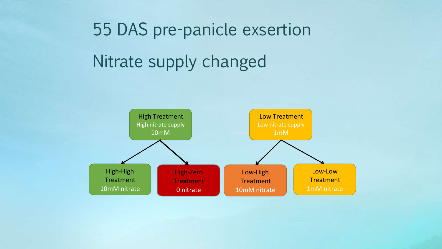# 55 DAS pre-panicle exsertion Nitrate supply changed

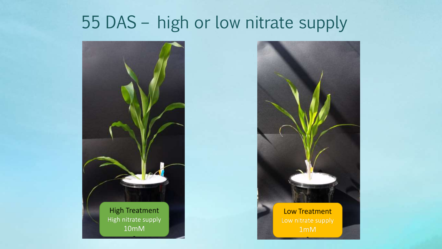## 55 DAS – high or low nitrate supply



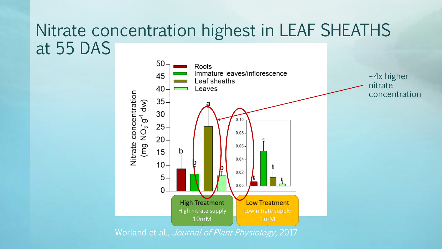### Nitrate concentration highest in LEAF SHEATHS at 55 DAS



Worland et al., Journal of Plant Physiology, 2017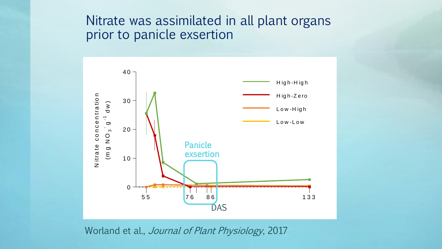### Nitrate was assimilated in all plant organs prior to panicle exsertion



Worland et al., Journal of Plant Physiology, 2017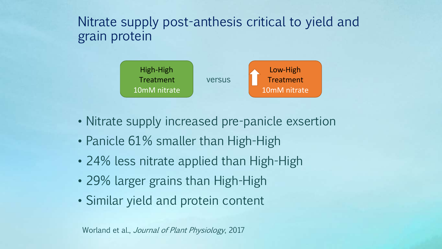### Nitrate supply post-anthesis critical to yield and grain protein



- Nitrate supply increased pre-panicle exsertion
- Panicle 61% smaller than High-High
- 24% less nitrate applied than High-High
- 29% larger grains than High-High
- Similar yield and protein content

Worland et al., Journal of Plant Physiology, 2017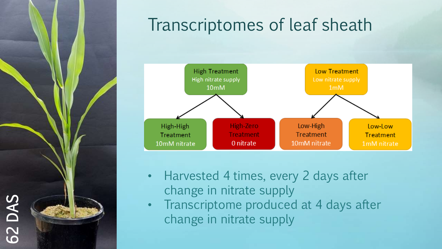

### Transcriptomes of leaf sheath



- Harvested 4 times, every 2 days after change in nitrate supply
- Transcriptome produced at 4 days after change in nitrate supply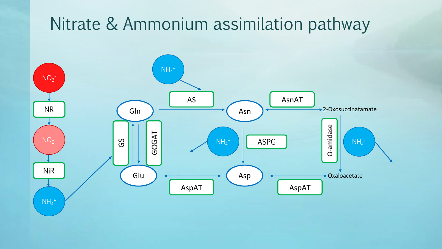## Nitrate & Ammonium assimilation pathway

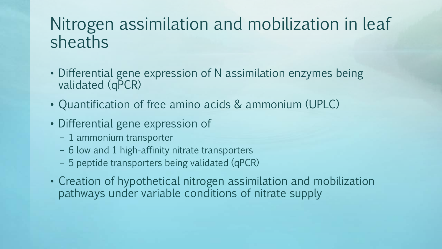### Nitrogen assimilation and mobilization in leaf sheaths

- Differential gene expression of N assimilation enzymes being validated (qPCR)
- Quantification of free amino acids & ammonium (UPLC)
- Differential gene expression of
	- 1 ammonium transporter
	- 6 low and 1 high-affinity nitrate transporters
	- 5 peptide transporters being validated (qPCR)
- Creation of hypothetical nitrogen assimilation and mobilization pathways under variable conditions of nitrate supply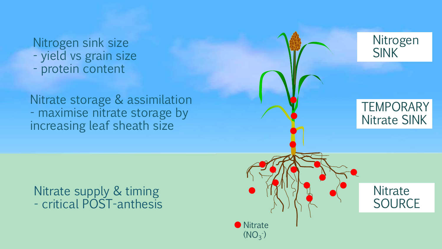#### Nitrogen sink size - yield vs grain size

- protein content

Nitrate storage & assimilation - maximise nitrate storage by increasing leaf sheath size

**TEMPORARY** 

Nitrogen

SINK

#### Nitrate supply & timing - critical POST-anthesis

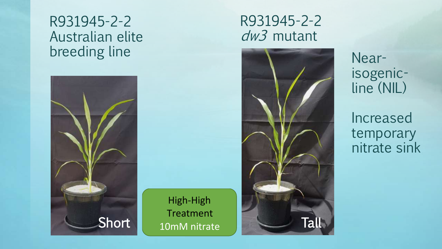### R931945-2-2 Australian elite breeding line



High-High **Treatment** 

Supply – 10mM

### R931945-2-2 dw3 mutant



Nearisogenicline (NIL)

Increased temporary nitrate sink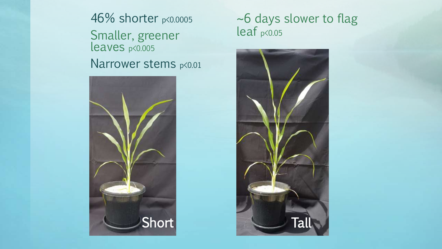46% shorter p<0.0005 Smaller, greener leaves p<0.005 Narrower stems p<0.01



#### ~6 days slower to flag leaf p<0.05

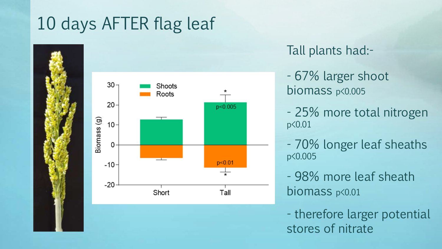# 10 days AFTER flag leaf





### Tall plants had:-

- 67% larger shoot biomass p<0.005
- 25% more total nitrogen p<0.01
- 70% longer leaf sheaths p<0.005
- 98% more leaf sheath biomass p<0.01

- therefore larger potential stores of nitrate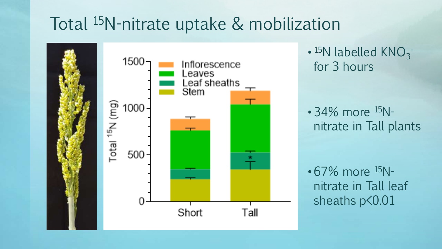### Total 15N-nitrate uptake & mobilization



 $\cdot$  <sup>15</sup>N labelled KNO<sub>3</sub><sup>-</sup> for 3 hours

• 34% more <sup>15</sup>Nnitrate in Tall plants

 $\cdot 67\%$  more  $^{15}$ Nnitrate in Tall leaf sheaths  $p$ <0.01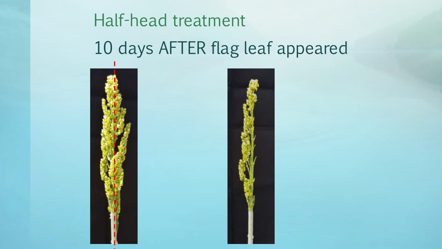# Half-head treatment 10 days AFTER flag leaf appeared



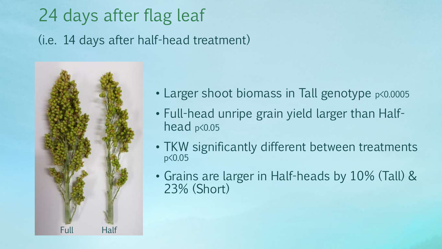# 24 days after flag leaf (i.e. 14 days after half-head treatment)



- Larger shoot biomass in Tall genotype  $p\leq 0.0005$
- Full-head unripe grain yield larger than Halfhead p<0.05
- TKW significantly different between treatments p<0.05
- Grains are larger in Half-heads by 10% (Tall) & 23% (Short)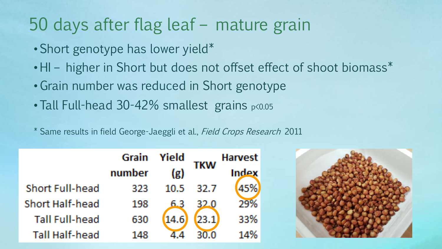### 50 days after flag leaf – mature grain

- Short genotype has lower yield\*
- HI higher in Short but does not offset effect of shoot biomass\*
- Grain number was reduced in Short genotype
- Tall Full-head 30-42% smallest grains p<0.05
- \* Same results in field George-Jaeggli et al., Field Crops Research 2011

|                        | Grain  | Yield             | TKW   | <b>Harvest</b> |  |
|------------------------|--------|-------------------|-------|----------------|--|
|                        | number | $\left( g\right)$ |       | Index          |  |
| <b>Short Full-head</b> | 323    | 10.5              | -32.7 |                |  |
| <b>Short Half-head</b> | 198    | 6.3               | 32.0  | 29%            |  |
| <b>Tall Full-head</b>  | 630    | (14.6)            | 23.1  | 33%            |  |
| <b>Tall Half-head</b>  | 148    |                   |       | $14\%$         |  |

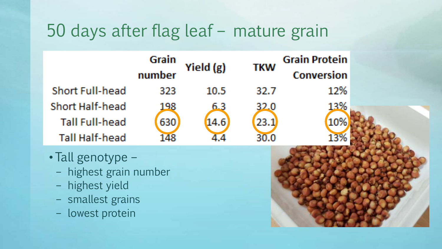## 50 days after flag leaf – mature grain

|                        | Grain  | Yield (g) | <b>TKW</b> | <b>Grain Protein</b> |  |
|------------------------|--------|-----------|------------|----------------------|--|
|                        | number |           |            | Conversion           |  |
| <b>Short Full-head</b> | 323    | 10.5      | 32.7       | 12%                  |  |
| Short Half-head        | 198    | 6.3       | 32.0       | 13%                  |  |
| <b>Tall Full-head</b>  | 630    | (14.6)    | (23.1)     | 10%                  |  |
| <b>Tall Half-head</b>  | 148    |           | 30.0       |                      |  |

- Tall genotype
	- highest grain number
	- highest yield
	- smallest grains
	- lowest protein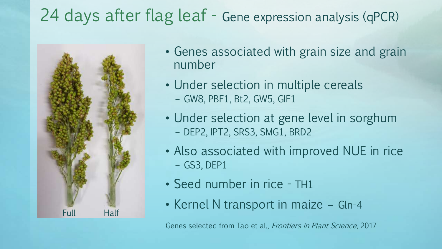# 24 days after flag leaf - Gene expression analysis (qPCR)



- Genes associated with grain size and grain number
- Under selection in multiple cereals – GW8, PBF1, Bt2, GW5, GIF1
- Under selection at gene level in sorghum – DEP2, IPT2, SRS3, SMG1, BRD2
- Also associated with improved NUE in rice – GS3, DEP1
- Seed number in rice TH1
- Kernel N transport in maize Gln-4

Genes selected from Tao et al., Frontiers in Plant Science, 2017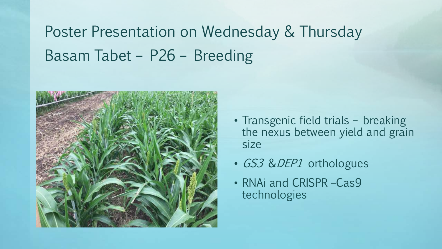Poster Presentation on Wednesday & Thursday Basam Tabet – P26 – Breeding



- Transgenic field trials breaking the nexus between yield and grain size
- GS3 & DEP1 orthologues
- RNAi and CRISPR –Cas9 technologies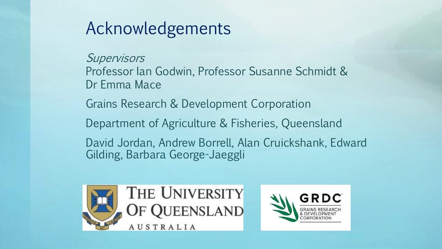### Acknowledgements

**Supervisors** Professor Ian Godwin, Professor Susanne Schmidt & Dr Emma Mace

Grains Research & Development Corporation

Department of Agriculture & Fisheries, Queensland

David Jordan, Andrew Borrell, Alan Cruickshank, Edward Gilding, Barbara George-Jaeggli